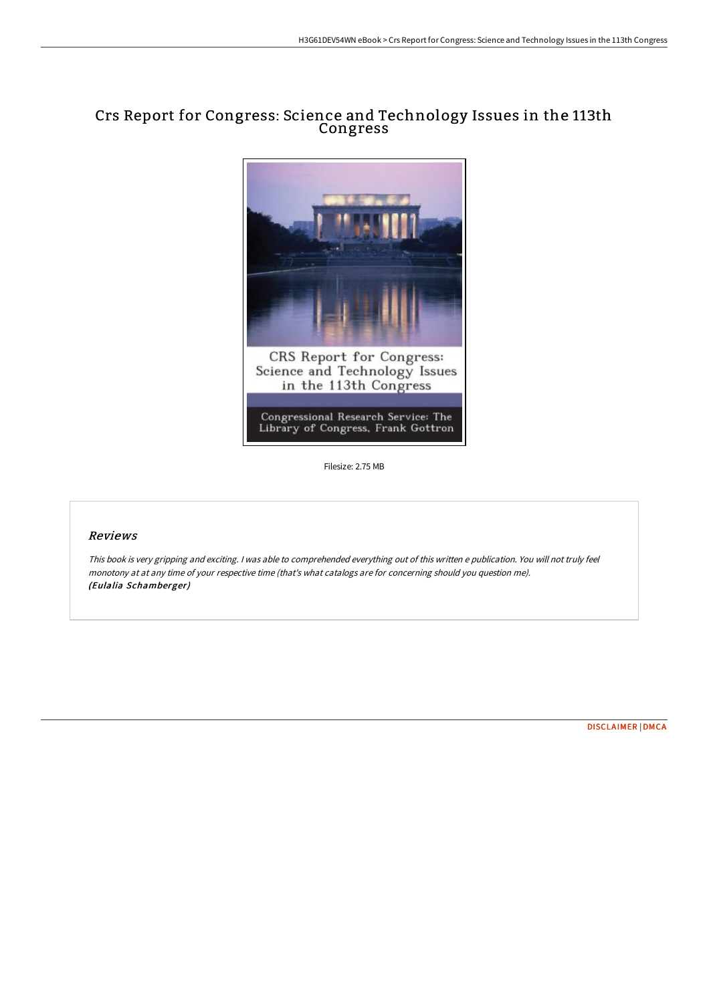## Crs Report for Congress: Science and Technology Issues in the 113th Congress



Filesize: 2.75 MB

## Reviews

This book is very gripping and exciting. <sup>I</sup> was able to comprehended everything out of this written <sup>e</sup> publication. You will not truly feel monotony at at any time of your respective time (that's what catalogs are for concerning should you question me). (Eulalia Schamberger)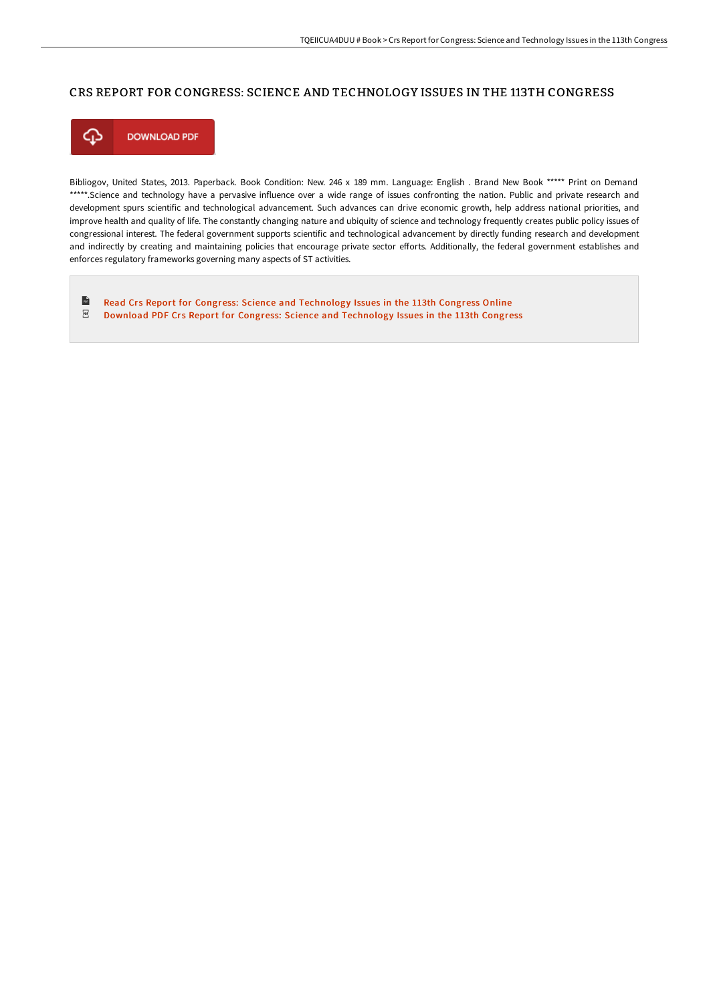## CRS REPORT FOR CONGRESS: SCIENCE AND TECHNOLOGY ISSUES IN THE 113TH CONGRESS



Bibliogov, United States, 2013. Paperback. Book Condition: New. 246 x 189 mm. Language: English . Brand New Book \*\*\*\*\* Print on Demand \*\*\*\*\*.Science and technology have a pervasive influence over a wide range of issues confronting the nation. Public and private research and development spurs scientific and technological advancement. Such advances can drive economic growth, help address national priorities, and improve health and quality of life. The constantly changing nature and ubiquity of science and technology frequently creates public policy issues of congressional interest. The federal government supports scientific and technological advancement by directly funding research and development and indirectly by creating and maintaining policies that encourage private sector efforts. Additionally, the federal government establishes and enforces regulatory frameworks governing many aspects of ST activities.

 $\frac{1}{10}$ Read Crs Report for Congress: Science and [Technology](http://digilib.live/crs-report-for-congress-science-and-technology-i.html) Issues in the 113th Congress Online  $_{\rm PDF}$ Download PDF Crs Report for Congress: Science and [Technology](http://digilib.live/crs-report-for-congress-science-and-technology-i.html) Issues in the 113th Congress